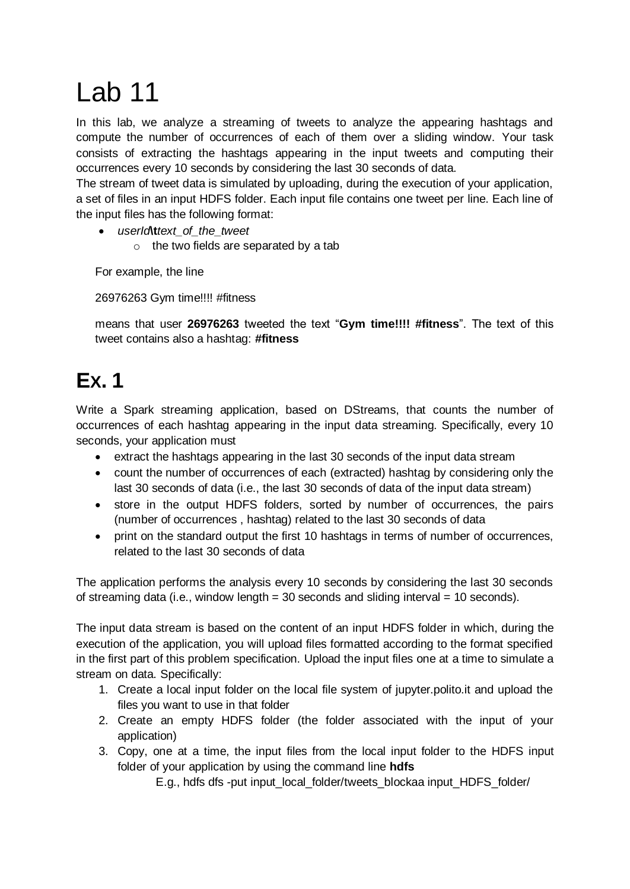## Lab 11

In this lab, we analyze a streaming of tweets to analyze the appearing hashtags and compute the number of occurrences of each of them over a sliding window. Your task consists of extracting the hashtags appearing in the input tweets and computing their occurrences every 10 seconds by considering the last 30 seconds of data.

The stream of tweet data is simulated by uploading, during the execution of your application, a set of files in an input HDFS folder. Each input file contains one tweet per line. Each line of the input files has the following format:

- *userId***\t***text\_of\_the\_tweet*
	- o the two fields are separated by a tab

For example, the line

26976263 Gym time!!!! #fitness

means that user **26976263** tweeted the text "**Gym time!!!! #fitness**". The text of this tweet contains also a hashtag: **#fitness**

## **EX. 1**

Write a Spark streaming application, based on DStreams, that counts the number of occurrences of each hashtag appearing in the input data streaming. Specifically, every 10 seconds, your application must

- extract the hashtags appearing in the last 30 seconds of the input data stream
- count the number of occurrences of each (extracted) hashtag by considering only the last 30 seconds of data (i.e., the last 30 seconds of data of the input data stream)
- store in the output HDFS folders, sorted by number of occurrences, the pairs (number of occurrences , hashtag) related to the last 30 seconds of data
- print on the standard output the first 10 hashtags in terms of number of occurrences, related to the last 30 seconds of data

The application performs the analysis every 10 seconds by considering the last 30 seconds of streaming data (i.e., window length  $=$  30 seconds and sliding interval  $=$  10 seconds).

The input data stream is based on the content of an input HDFS folder in which, during the execution of the application, you will upload files formatted according to the format specified in the first part of this problem specification. Upload the input files one at a time to simulate a stream on data. Specifically:

- 1. Create a local input folder on the local file system of jupyter.polito.it and upload the files you want to use in that folder
- 2. Create an empty HDFS folder (the folder associated with the input of your application)
- 3. Copy, one at a time, the input files from the local input folder to the HDFS input folder of your application by using the command line **hdfs**

E.g., hdfs dfs -put input\_local\_folder/tweets\_blockaa input\_HDFS\_folder/